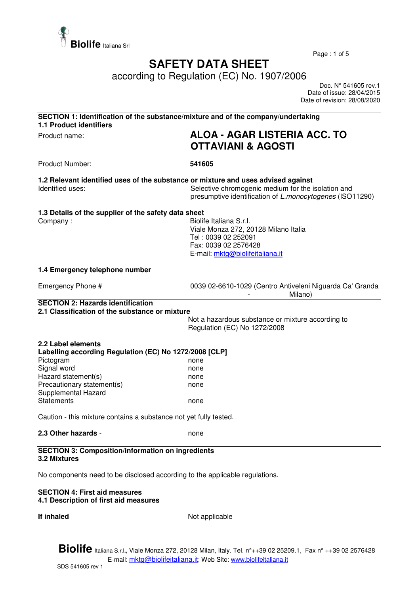

Page : 1 of 5

## **SAFETY DATA SHEET**

according to Regulation (EC) No. 1907/2006

 Doc. N° 541605 rev.1 Date of issue: 28/04/2015 Date of revision: 28/08/2020

| <b>1.1 Product identifiers</b>                                                                                                                                                       | SECTION 1: Identification of the substance/mixture and of the company/undertaking                                                                                                                          |
|--------------------------------------------------------------------------------------------------------------------------------------------------------------------------------------|------------------------------------------------------------------------------------------------------------------------------------------------------------------------------------------------------------|
| Product name:                                                                                                                                                                        | <b>ALOA - AGAR LISTERIA ACC. TO</b><br><b>OTTAVIANI &amp; AGOSTI</b>                                                                                                                                       |
| <b>Product Number:</b>                                                                                                                                                               | 541605                                                                                                                                                                                                     |
| Identified uses:                                                                                                                                                                     | 1.2 Relevant identified uses of the substance or mixture and uses advised against<br>Selective chromogenic medium for the isolation and<br>presumptive identification of <i>L.monocytogenes</i> (ISO11290) |
| 1.3 Details of the supplier of the safety data sheet<br>Company:                                                                                                                     | Biolife Italiana S.r.l.<br>Viale Monza 272, 20128 Milano Italia<br>Tel: 0039 02 252091<br>Fax: 0039 02 2576428<br>E-mail: mktg@biolifeitaliana.it                                                          |
| 1.4 Emergency telephone number                                                                                                                                                       |                                                                                                                                                                                                            |
| Emergency Phone #                                                                                                                                                                    | 0039 02-6610-1029 (Centro Antiveleni Niguarda Ca' Granda<br>Milano)                                                                                                                                        |
| <b>SECTION 2: Hazards identification</b><br>2.1 Classification of the substance or mixture                                                                                           |                                                                                                                                                                                                            |
|                                                                                                                                                                                      | Not a hazardous substance or mixture according to<br>Regulation (EC) No 1272/2008                                                                                                                          |
| 2.2 Label elements<br>Labelling according Regulation (EC) No 1272/2008 [CLP]<br>Pictogram<br>Signal word<br>Hazard statement(s)<br>Precautionary statement(s)<br>Supplemental Hazard | none<br>none<br>none<br>none                                                                                                                                                                               |
| <b>Statements</b>                                                                                                                                                                    | none                                                                                                                                                                                                       |
| Caution - this mixture contains a substance not yet fully tested.                                                                                                                    |                                                                                                                                                                                                            |
| 2.3 Other hazards -                                                                                                                                                                  | none                                                                                                                                                                                                       |
| <b>SECTION 3: Composition/information on ingredients</b><br>3.2 Mixtures                                                                                                             |                                                                                                                                                                                                            |
| No components need to be disclosed according to the applicable regulations.                                                                                                          |                                                                                                                                                                                                            |

## **SECTION 4: First aid measures 4.1 Description of first aid measures**

**If inhaled** Not applicable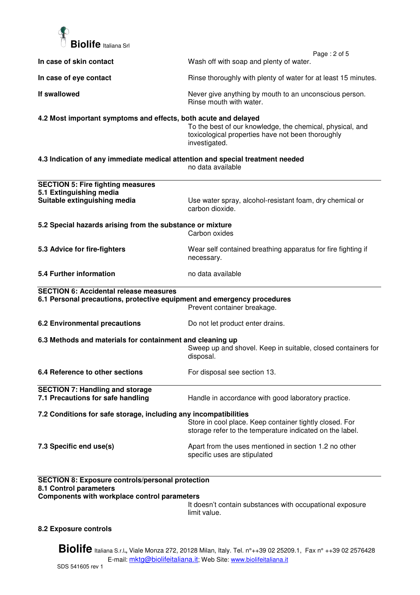

|                                                                                   | Page: 2 of 5                                                                                                                    |  |
|-----------------------------------------------------------------------------------|---------------------------------------------------------------------------------------------------------------------------------|--|
| In case of skin contact                                                           | Wash off with soap and plenty of water.                                                                                         |  |
| In case of eye contact                                                            | Rinse thoroughly with plenty of water for at least 15 minutes.                                                                  |  |
| If swallowed                                                                      | Never give anything by mouth to an unconscious person.<br>Rinse mouth with water.                                               |  |
| 4.2 Most important symptoms and effects, both acute and delayed                   | To the best of our knowledge, the chemical, physical, and<br>toxicological properties have not been thoroughly<br>investigated. |  |
| 4.3 Indication of any immediate medical attention and special treatment needed    | no data available                                                                                                               |  |
| <b>SECTION 5: Fire fighting measures</b>                                          |                                                                                                                                 |  |
| 5.1 Extinguishing media                                                           |                                                                                                                                 |  |
| Suitable extinguishing media                                                      | Use water spray, alcohol-resistant foam, dry chemical or<br>carbon dioxide.                                                     |  |
| 5.2 Special hazards arising from the substance or mixture                         |                                                                                                                                 |  |
|                                                                                   | Carbon oxides                                                                                                                   |  |
| 5.3 Advice for fire-fighters                                                      | Wear self contained breathing apparatus for fire fighting if<br>necessary.                                                      |  |
| 5.4 Further information                                                           | no data available                                                                                                               |  |
| <b>SECTION 6: Accidental release measures</b>                                     |                                                                                                                                 |  |
| 6.1 Personal precautions, protective equipment and emergency procedures           | Prevent container breakage.                                                                                                     |  |
| <b>6.2 Environmental precautions</b>                                              | Do not let product enter drains.                                                                                                |  |
| 6.3 Methods and materials for containment and cleaning up                         | Sweep up and shovel. Keep in suitable, closed containers for<br>disposal.                                                       |  |
| 6.4 Reference to other sections                                                   | For disposal see section 13.                                                                                                    |  |
| <b>SECTION 7: Handling and storage</b><br>7.1 Precautions for safe handling       | Handle in accordance with good laboratory practice.                                                                             |  |
| 7.2 Conditions for safe storage, including any incompatibilities                  |                                                                                                                                 |  |
|                                                                                   | Store in cool place. Keep container tightly closed. For<br>storage refer to the temperature indicated on the label.             |  |
| 7.3 Specific end use(s)                                                           | Apart from the uses mentioned in section 1.2 no other<br>specific uses are stipulated                                           |  |
| <b>SECTION 8: Exposure controls/personal protection</b><br>8.1 Control parameters |                                                                                                                                 |  |
| Components with workplace control parameters                                      |                                                                                                                                 |  |

It doesn't contain substances with occupational exposure limit value.

## **8.2 Exposure controls**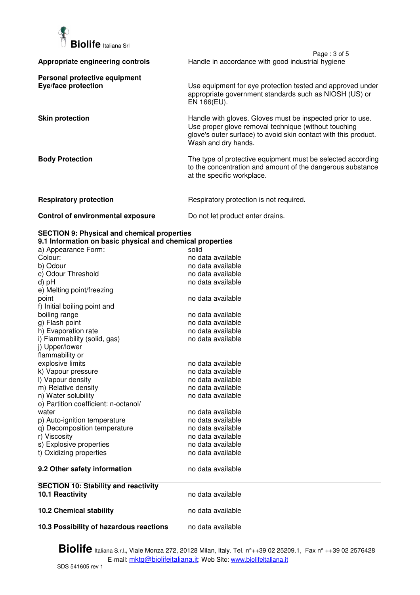

|                                                      | Page: 3 of 5                                                                                                                                                                                                 |
|------------------------------------------------------|--------------------------------------------------------------------------------------------------------------------------------------------------------------------------------------------------------------|
| Appropriate engineering controls                     | Handle in accordance with good industrial hygiene                                                                                                                                                            |
| Personal protective equipment<br>Eye/face protection | Use equipment for eye protection tested and approved under<br>appropriate government standards such as NIOSH (US) or<br>EN 166(EU).                                                                          |
| <b>Skin protection</b>                               | Handle with gloves. Gloves must be inspected prior to use.<br>Use proper glove removal technique (without touching<br>glove's outer surface) to avoid skin contact with this product.<br>Wash and dry hands. |
| <b>Body Protection</b>                               | The type of protective equipment must be selected according<br>to the concentration and amount of the dangerous substance<br>at the specific workplace.                                                      |
| <b>Respiratory protection</b>                        | Respiratory protection is not required.                                                                                                                                                                      |
| Control of environmental exposure                    | Do not let product enter drains.                                                                                                                                                                             |

## **SECTION 9: Physical and chemical properties**

| 9.1 Information on basic physical and chemical properties |                   |  |  |
|-----------------------------------------------------------|-------------------|--|--|
| a) Appearance Form:                                       | solid             |  |  |
| Colour:                                                   | no data available |  |  |
| b) Odour                                                  | no data available |  |  |
| c) Odour Threshold                                        | no data available |  |  |
| d) pH                                                     | no data available |  |  |
| e) Melting point/freezing                                 |                   |  |  |
| point                                                     | no data available |  |  |
| f) Initial boiling point and                              |                   |  |  |
| boiling range                                             | no data available |  |  |
| g) Flash point                                            | no data available |  |  |
| h) Evaporation rate                                       | no data available |  |  |
| i) Flammability (solid, gas)                              | no data available |  |  |
| j) Upper/lower                                            |                   |  |  |
| flammability or                                           |                   |  |  |
| explosive limits                                          | no data available |  |  |
| k) Vapour pressure                                        | no data available |  |  |
| I) Vapour density                                         | no data available |  |  |
| m) Relative density                                       | no data available |  |  |
| n) Water solubility                                       | no data available |  |  |
| o) Partition coefficient: n-octanol/                      |                   |  |  |
| water                                                     | no data available |  |  |
| p) Auto-ignition temperature                              | no data available |  |  |
| q) Decomposition temperature                              | no data available |  |  |
| r) Viscosity                                              | no data available |  |  |
| s) Explosive properties                                   | no data available |  |  |
| t) Oxidizing properties                                   | no data available |  |  |
| 9.2 Other safety information                              | no data available |  |  |
| <b>SECTION 10: Stability and reactivity</b>               |                   |  |  |
| 10.1 Reactivity                                           | no data available |  |  |
| <b>10.2 Chemical stability</b>                            | no data available |  |  |
| 10.3 Possibility of hazardous reactions                   | no data available |  |  |
|                                                           |                   |  |  |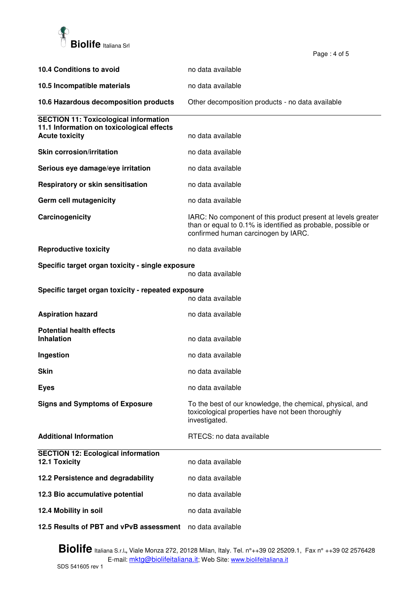

| 10.4 Conditions to avoid                                                | no data available                                                                                                                                                   |
|-------------------------------------------------------------------------|---------------------------------------------------------------------------------------------------------------------------------------------------------------------|
| 10.5 Incompatible materials                                             | no data available                                                                                                                                                   |
| 10.6 Hazardous decomposition products                                   | Other decomposition products - no data available                                                                                                                    |
| <b>SECTION 11: Toxicological information</b>                            |                                                                                                                                                                     |
| 11.1 Information on toxicological effects<br><b>Acute toxicity</b>      | no data available                                                                                                                                                   |
| <b>Skin corrosion/irritation</b>                                        | no data available                                                                                                                                                   |
| Serious eye damage/eye irritation                                       | no data available                                                                                                                                                   |
| Respiratory or skin sensitisation                                       | no data available                                                                                                                                                   |
| Germ cell mutagenicity                                                  | no data available                                                                                                                                                   |
| Carcinogenicity                                                         | IARC: No component of this product present at levels greater<br>than or equal to 0.1% is identified as probable, possible or<br>confirmed human carcinogen by IARC. |
| <b>Reproductive toxicity</b>                                            | no data available                                                                                                                                                   |
| Specific target organ toxicity - single exposure<br>no data available   |                                                                                                                                                                     |
| Specific target organ toxicity - repeated exposure<br>no data available |                                                                                                                                                                     |
| <b>Aspiration hazard</b>                                                | no data available                                                                                                                                                   |
| <b>Potential health effects</b>                                         |                                                                                                                                                                     |
| <b>Inhalation</b>                                                       | no data available                                                                                                                                                   |
| Ingestion                                                               | no data available                                                                                                                                                   |
| Skin                                                                    | no data available                                                                                                                                                   |
| <b>Eyes</b>                                                             | no data available                                                                                                                                                   |
| <b>Signs and Symptoms of Exposure</b>                                   | To the best of our knowledge, the chemical, physical, and<br>toxicological properties have not been thoroughly<br>investigated.                                     |
| <b>Additional Information</b>                                           | RTECS: no data available                                                                                                                                            |
| <b>SECTION 12: Ecological information</b><br>12.1 Toxicity              | no data available                                                                                                                                                   |
| 12.2 Persistence and degradability                                      | no data available                                                                                                                                                   |
| 12.3 Bio accumulative potential                                         | no data available                                                                                                                                                   |
| 12.4 Mobility in soil                                                   | no data available                                                                                                                                                   |
| 12.5 Results of PBT and vPvB assessment                                 | no data available                                                                                                                                                   |

Page : 4 of 5